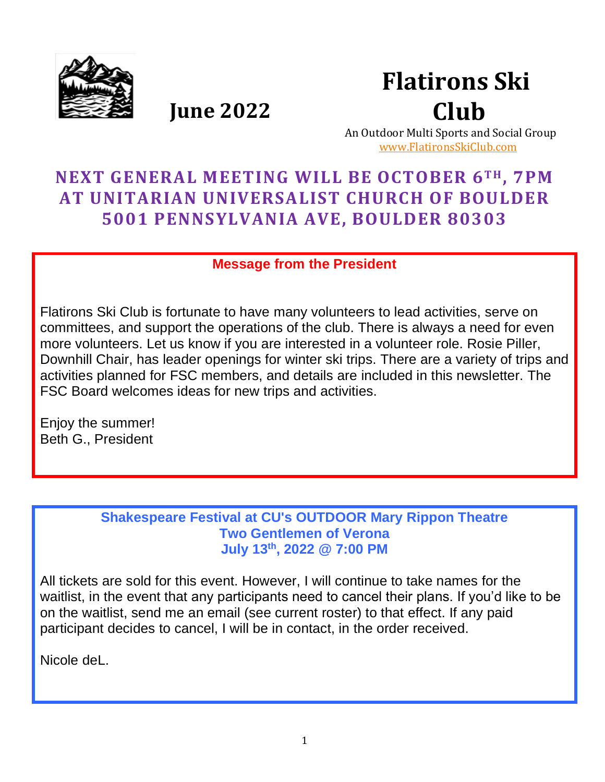

 **Flatirons Ski Club**

 **June 2022**

 An Outdoor Multi Sports and Social Group [www.FlatironsSkiClub.com](http://www.flatironsskiclub.com/)

# **NEXT GENERAL MEETING WILL BE OCTOBER 6TH , 7PM AT UNITARIAN UNIVERSALIST CHURCH OF BOULDER 5001 PENNSYLVANIA AVE, BOULDER 80303**

**Message from the President**

Flatirons Ski Club is fortunate to have many volunteers to lead activities, serve on committees, and support the operations of the club. There is always a need for even more volunteers. Let us know if you are interested in a volunteer role. Rosie Piller, Downhill Chair, has leader openings for winter ski trips. There are a variety of trips and activities planned for FSC members, and details are included in this newsletter. The FSC Board welcomes ideas for new trips and activities.

Enjoy the summer! Beth G., President

> **Shakespeare Festival at CU's OUTDOOR Mary Rippon Theatre Two Gentlemen of Verona July 13th , 2022 @ 7:00 PM**

All tickets are sold for this event. However, I will continue to take names for the waitlist, in the event that any participants need to cancel their plans. If you'd like to be on the waitlist, send me an email (see current roster) to that effect. If any paid participant decides to cancel, I will be in contact, in the order received.

Nicole deL.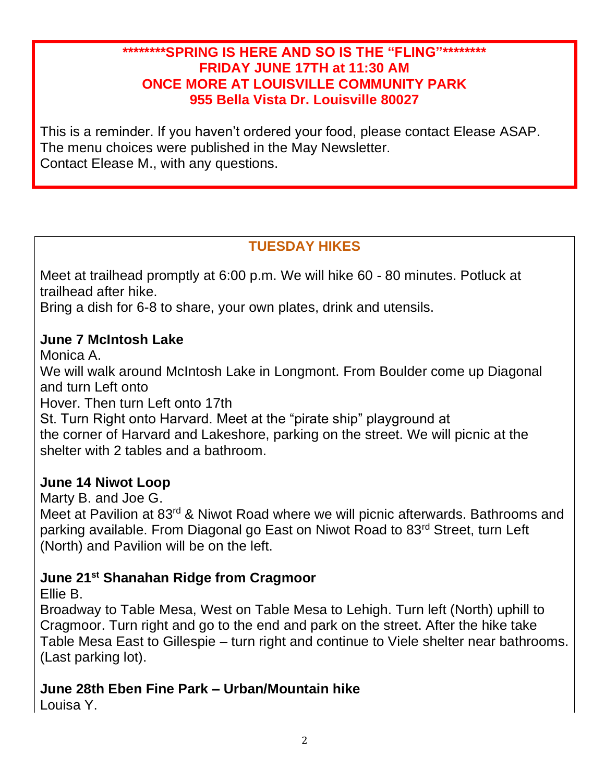#### **\*\*\*\*\*\*\*\*SPRING IS HERE AND SO IS THE "FLING"\*\*\*\*\*\*\*\* FRIDAY JUNE 17TH at 11:30 AM ONCE MORE AT LOUISVILLE COMMUNITY PARK 955 Bella Vista Dr. Louisville 80027**

This is a reminder. If you haven't ordered your food, please contact Elease ASAP. The menu choices were published in the May Newsletter. Contact Elease M., with any questions.

# **TUESDAY HIKES**

Meet at trailhead promptly at 6:00 p.m. We will hike 60 - 80 minutes. Potluck at trailhead after hike.

Bring a dish for 6-8 to share, your own plates, drink and utensils.

### **June 7 McIntosh Lake**

Monica A.

We will walk around McIntosh Lake in Longmont. From Boulder come up Diagonal and turn Left onto

Hover. Then turn Left onto 17th

St. Turn Right onto Harvard. Meet at the "pirate ship" playground at the corner of Harvard and Lakeshore, parking on the street. We will picnic at the shelter with 2 tables and a bathroom.

### **June 14 Niwot Loop**

Marty B. and Joe G.

Meet at Pavilion at 83<sup>rd</sup> & Niwot Road where we will picnic afterwards. Bathrooms and parking available. From Diagonal go East on Niwot Road to 83rd Street, turn Left (North) and Pavilion will be on the left.

### **June 21st Shanahan Ridge from Cragmoor**

Ellie B.

Broadway to Table Mesa, West on Table Mesa to Lehigh. Turn left (North) uphill to Cragmoor. Turn right and go to the end and park on the street. After the hike take Table Mesa East to Gillespie – turn right and continue to Viele shelter near bathrooms. (Last parking lot).

# **June 28th Eben Fine Park – Urban/Mountain hike**

Louisa Y.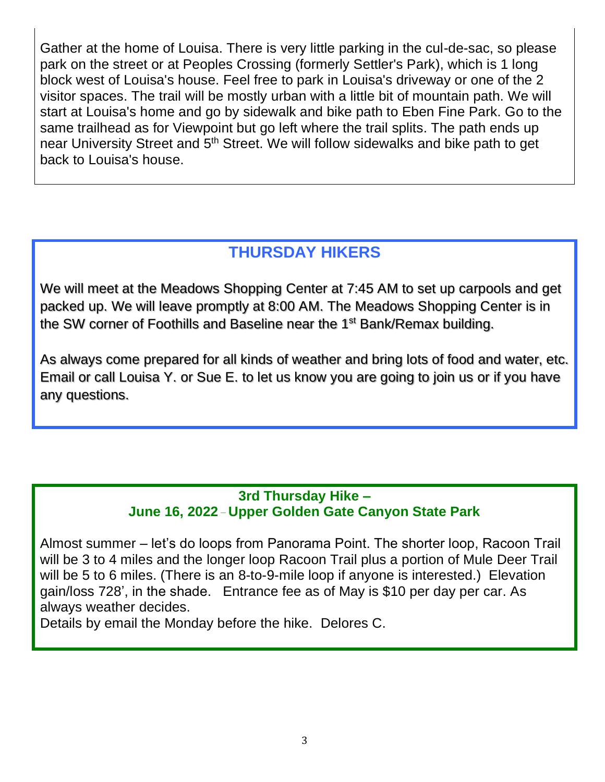Gather at the home of Louisa. There is very little parking in the cul-de-sac, so please park on the street or at Peoples Crossing (formerly Settler's Park), which is 1 long block west of Louisa's house. Feel free to park in Louisa's driveway or one of the 2 visitor spaces. The trail will be mostly urban with a little bit of mountain path. We will start at Louisa's home and go by sidewalk and bike path to Eben Fine Park. Go to the same trailhead as for Viewpoint but go left where the trail splits. The path ends up near University Street and 5<sup>th</sup> Street. We will follow sidewalks and bike path to get back to Louisa's house.

# **THURSDAY HIKERS**

We will meet at the Meadows Shopping Center at 7:45 AM to set up carpools and get packed up. We will leave promptly at 8:00 AM. The Meadows Shopping Center is in the SW corner of Foothills and Baseline near the 1<sup>st</sup> Bank/Remax building.

As always come prepared for all kinds of weather and bring lots of food and water, etc. Email or call Louisa Y. or Sue E. to let us know you are going to join us or if you have any questions.

### **3rd Thursday Hike – June 16, 2022 \_ Upper Golden Gate Canyon State Park**

Almost summer – let's do loops from Panorama Point. The shorter loop, Racoon Trail will be 3 to 4 miles and the longer loop Racoon Trail plus a portion of Mule Deer Trail will be 5 to 6 miles. (There is an 8-to-9-mile loop if anyone is interested.) Elevation gain/loss 728', in the shade. Entrance fee as of May is \$10 per day per car. As always weather decides.

Details by email the Monday before the hike. Delores C.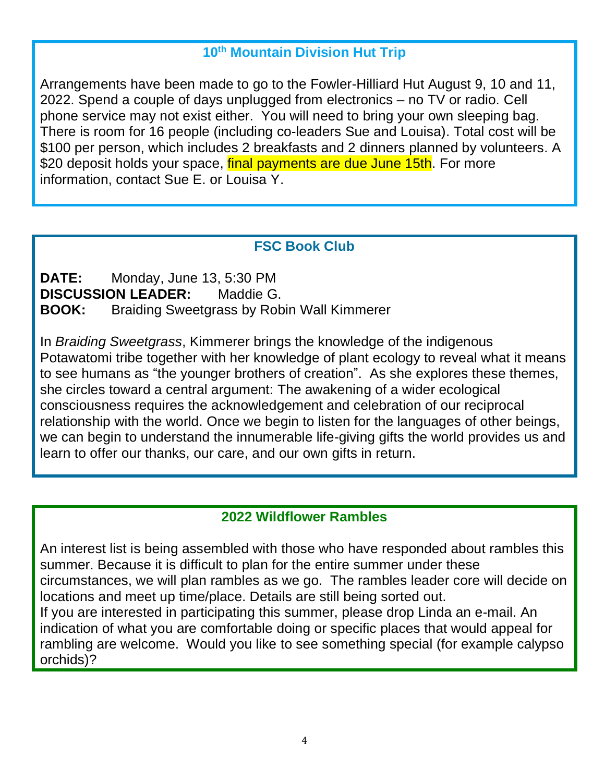### **10th Mountain Division Hut Trip**

Arrangements have been made to go to the Fowler-Hilliard Hut August 9, 10 and 11, 2022. Spend a couple of days unplugged from electronics – no TV or radio. Cell phone service may not exist either. You will need to bring your own sleeping bag. There is room for 16 people (including co-leaders Sue and Louisa). Total cost will be \$100 per person, which includes 2 breakfasts and 2 dinners planned by volunteers. A \$20 deposit holds your space, final payments are due June 15th. For more information, contact Sue E. or Louisa Y.

### **FSC Book Club**

**DATE:** Monday, June 13, 5:30 PM **DISCUSSION LEADER:** Maddie G. **BOOK:** Braiding Sweetgrass by Robin Wall Kimmerer

In *Braiding Sweetgrass*, Kimmerer brings the knowledge of the indigenous Potawatomi tribe together with her knowledge of plant ecology to reveal what it means to see humans as "the younger brothers of creation". As she explores these themes, she circles toward a central argument: The awakening of a wider ecological consciousness requires the acknowledgement and celebration of our reciprocal relationship with the world. Once we begin to listen for the languages of other beings, we can begin to understand the innumerable life-giving gifts the world provides us and learn to offer our thanks, our care, and our own gifts in return.

### **2022 Wildflower Rambles**

An interest list is being assembled with those who have responded about rambles this summer. Because it is difficult to plan for the entire summer under these circumstances, we will plan rambles as we go. The rambles leader core will decide on locations and meet up time/place. Details are still being sorted out. If you are interested in participating this summer, please drop Linda an e-mail. An

indication of what you are comfortable doing or specific places that would appeal for rambling are welcome. Would you like to see something special (for example calypso orchids)?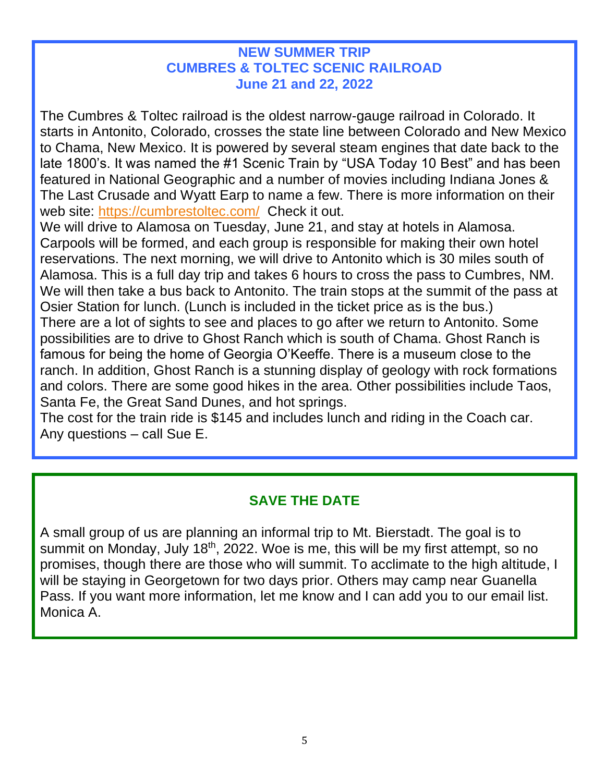#### **NEW SUMMER TRIP CUMBRES & TOLTEC SCENIC RAILROAD June 21 and 22, 2022**

The Cumbres & Toltec railroad is the oldest narrow-gauge railroad in Colorado. It starts in Antonito, Colorado, crosses the state line between Colorado and New Mexico to Chama, New Mexico. It is powered by several steam engines that date back to the late 1800's. It was named the #1 Scenic Train by "USA Today 10 Best" and has been featured in National Geographic and a number of movies including Indiana Jones & The Last Crusade and Wyatt Earp to name a few. There is more information on their web site:<https://cumbrestoltec.com/>Check it out.

We will drive to Alamosa on Tuesday, June 21, and stay at hotels in Alamosa. Carpools will be formed, and each group is responsible for making their own hotel reservations. The next morning, we will drive to Antonito which is 30 miles south of Alamosa. This is a full day trip and takes 6 hours to cross the pass to Cumbres, NM. We will then take a bus back to Antonito. The train stops at the summit of the pass at Osier Station for lunch. (Lunch is included in the ticket price as is the bus.) There are a lot of sights to see and places to go after we return to Antonito. Some possibilities are to drive to Ghost Ranch which is south of Chama. Ghost Ranch is famous for being the home of Georgia O'Keeffe. There is a museum close to the ranch. In addition, Ghost Ranch is a stunning display of geology with rock formations and colors. There are some good hikes in the area. Other possibilities include Taos, Santa Fe, the Great Sand Dunes, and hot springs.

The cost for the train ride is \$145 and includes lunch and riding in the Coach car. Any questions – call Sue E.

## **SAVE THE DATE**

A small group of us are planning an informal trip to Mt. Bierstadt. The goal is to summit on Monday, July  $18<sup>th</sup>$ , 2022. Woe is me, this will be my first attempt, so no promises, though there are those who will summit. To acclimate to the high altitude, I will be staying in Georgetown for two days prior. Others may camp near Guanella Pass. If you want more information, let me know and I can add you to our email list. Monica A.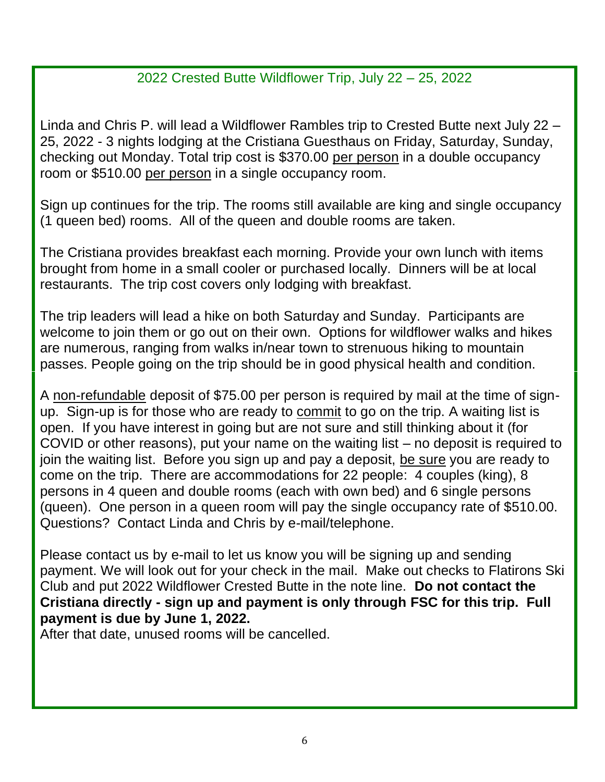### 2022 Crested Butte Wildflower Trip, July 22 – 25, 2022

Linda and Chris P. will lead a Wildflower Rambles trip to Crested Butte next July 22 – 25, 2022 - 3 nights lodging at the Cristiana Guesthaus on Friday, Saturday, Sunday, checking out Monday. Total trip cost is \$370.00 per person in a double occupancy room or \$510.00 per person in a single occupancy room.

Sign up continues for the trip. The rooms still available are king and single occupancy (1 queen bed) rooms. All of the queen and double rooms are taken.

The Cristiana provides breakfast each morning. Provide your own lunch with items brought from home in a small cooler or purchased locally. Dinners will be at local restaurants. The trip cost covers only lodging with breakfast.

The trip leaders will lead a hike on both Saturday and Sunday. Participants are welcome to join them or go out on their own. Options for wildflower walks and hikes are numerous, ranging from walks in/near town to strenuous hiking to mountain passes. People going on the trip should be in good physical health and condition.

A non-refundable deposit of \$75.00 per person is required by mail at the time of signup. Sign-up is for those who are ready to commit to go on the trip. A waiting list is open. If you have interest in going but are not sure and still thinking about it (for COVID or other reasons), put your name on the waiting list – no deposit is required to join the waiting list. Before you sign up and pay a deposit, be sure you are ready to come on the trip. There are accommodations for 22 people: 4 couples (king), 8 persons in 4 queen and double rooms (each with own bed) and 6 single persons (queen). One person in a queen room will pay the single occupancy rate of \$510.00. Questions? Contact Linda and Chris by e-mail/telephone.

Please contact us by e-mail to let us know you will be signing up and sending payment. We will look out for your check in the mail. Make out checks to Flatirons Ski Club and put 2022 Wildflower Crested Butte in the note line. **Do not contact the Cristiana directly - sign up and payment is only through FSC for this trip. Full payment is due by June 1, 2022.**

After that date, unused rooms will be cancelled.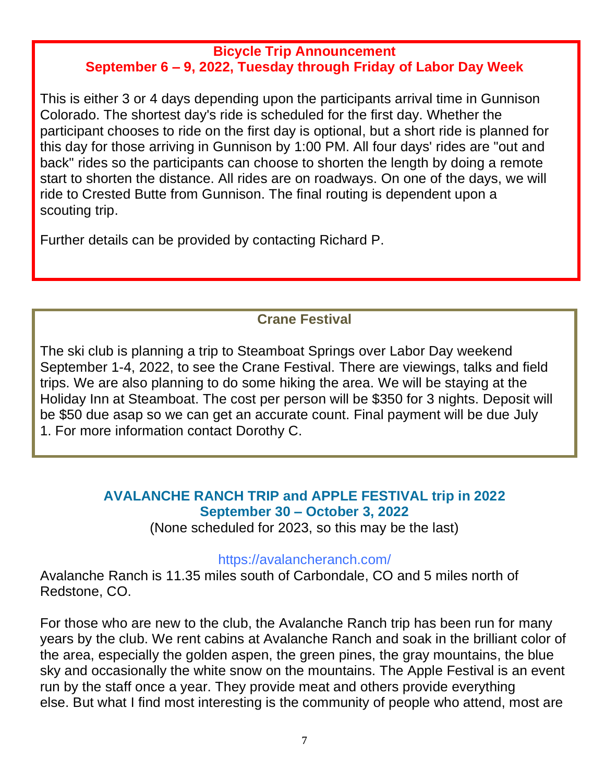#### **Bicycle Trip Announcement September 6 – 9, 2022, Tuesday through Friday of Labor Day Week**

This is either 3 or 4 days depending upon the participants arrival time in Gunnison Colorado. The shortest day's ride is scheduled for the first day. Whether the participant chooses to ride on the first day is optional, but a short ride is planned for this day for those arriving in Gunnison by 1:00 PM. All four days' rides are "out and back" rides so the participants can choose to shorten the length by doing a remote start to shorten the distance. All rides are on roadways. On one of the days, we will ride to Crested Butte from Gunnison. The final routing is dependent upon a scouting trip.

Further details can be provided by contacting Richard P.

# **Crane Festival**

The ski club is planning a trip to Steamboat Springs over Labor Day weekend September 1-4, 2022, to see the Crane Festival. There are viewings, talks and field trips. We are also planning to do some hiking the area. We will be staying at the Holiday Inn at Steamboat. The cost per person will be \$350 for 3 nights. Deposit will be \$50 due asap so we can get an accurate count. Final payment will be due July 1. For more information contact Dorothy C.

## **AVALANCHE RANCH TRIP and APPLE FESTIVAL trip in 2022 September 30 – October 3, 2022**

(None scheduled for 2023, so this may be the last)

#### <https://avalancheranch.com/>

Avalanche Ranch is 11.35 miles south of Carbondale, CO and 5 miles north of Redstone, CO.

For those who are new to the club, the Avalanche Ranch trip has been run for many years by the club. We rent cabins at Avalanche Ranch and soak in the brilliant color of the area, especially the golden aspen, the green pines, the gray mountains, the blue sky and occasionally the white snow on the mountains. The Apple Festival is an event run by the staff once a year. They provide meat and others provide everything else. But what I find most interesting is the community of people who attend, most are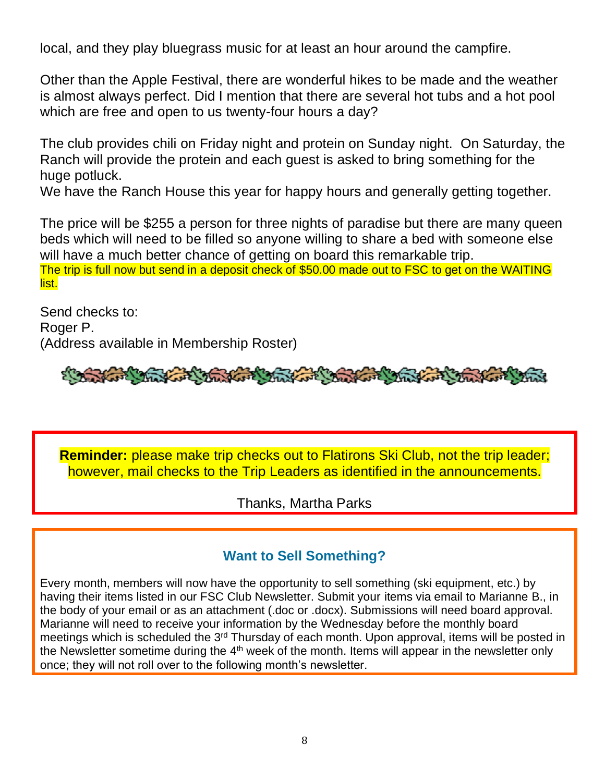local, and they play bluegrass music for at least an hour around the campfire.

Other than the Apple Festival, there are wonderful hikes to be made and the weather is almost always perfect. Did I mention that there are several hot tubs and a hot pool which are free and open to us twenty-four hours a day?

The club provides chili on Friday night and protein on Sunday night. On Saturday, the Ranch will provide the protein and each guest is asked to bring something for the huge potluck.

We have the Ranch House this year for happy hours and generally getting together.

The price will be \$255 a person for three nights of paradise but there are many queen beds which will need to be filled so anyone willing to share a bed with someone else will have a much better chance of getting on board this remarkable trip.

The trip is full now but send in a deposit check of \$50.00 made out to FSC to get on the WAITING list.

Send checks to: Roger P. (Address available in Membership Roster)

And the state of the fact that we have a track of the fact

**Reminder:** please make trip checks out to Flatirons Ski Club, not the trip leader; however, mail checks to the Trip Leaders as identified in the announcements.

Thanks, Martha Parks

#### **Want to Sell Something?**

Every month, members will now have the opportunity to sell something (ski equipment, etc.) by having their items listed in our FSC Club Newsletter. Submit your items via email to Marianne B., in the body of your email or as an attachment (.doc or .docx). Submissions will need board approval. Marianne will need to receive your information by the Wednesday before the monthly board meetings which is scheduled the 3<sup>rd</sup> Thursday of each month. Upon approval, items will be posted in the Newsletter sometime during the 4<sup>th</sup> week of the month. Items will appear in the newsletter only once; they will not roll over to the following month's newsletter.